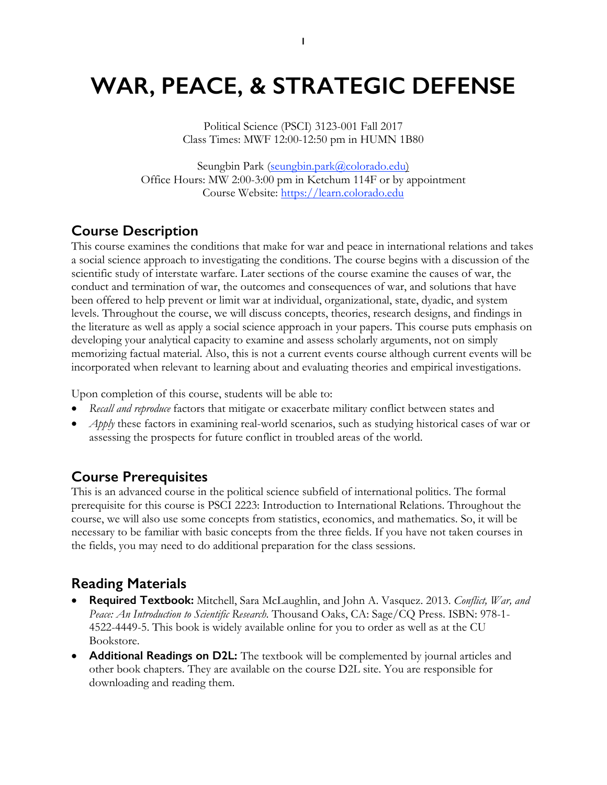# **WAR, PEACE, & STRATEGIC DEFENSE**

Political Science (PSCI) 3123-001 Fall 2017 Class Times: MWF 12:00-12:50 pm in HUMN 1B80

Seungbin Park (seungbin.park@colorado.edu) Office Hours: MW 2:00-3:00 pm in Ketchum 114F or by appointment Course Website: https://learn.colorado.edu

## **Course Description**

This course examines the conditions that make for war and peace in international relations and takes a social science approach to investigating the conditions. The course begins with a discussion of the scientific study of interstate warfare. Later sections of the course examine the causes of war, the conduct and termination of war, the outcomes and consequences of war, and solutions that have been offered to help prevent or limit war at individual, organizational, state, dyadic, and system levels. Throughout the course, we will discuss concepts, theories, research designs, and findings in the literature as well as apply a social science approach in your papers. This course puts emphasis on developing your analytical capacity to examine and assess scholarly arguments, not on simply memorizing factual material. Also, this is not a current events course although current events will be incorporated when relevant to learning about and evaluating theories and empirical investigations.

Upon completion of this course, students will be able to:

- *Recall and reproduce* factors that mitigate or exacerbate military conflict between states and
- *Apply* these factors in examining real-world scenarios, such as studying historical cases of war or assessing the prospects for future conflict in troubled areas of the world.

### **Course Prerequisites**

This is an advanced course in the political science subfield of international politics. The formal prerequisite for this course is PSCI 2223: Introduction to International Relations. Throughout the course, we will also use some concepts from statistics, economics, and mathematics. So, it will be necessary to be familiar with basic concepts from the three fields. If you have not taken courses in the fields, you may need to do additional preparation for the class sessions.

## **Reading Materials**

- **Required Textbook:** Mitchell, Sara McLaughlin, and John A. Vasquez. 2013. *Conflict, War, and Peace: An Introduction to Scientific Research*. Thousand Oaks, CA: Sage/CQ Press. ISBN: 978-1- 4522-4449-5. This book is widely available online for you to order as well as at the CU Bookstore.
- **Additional Readings on D2L:** The textbook will be complemented by journal articles and other book chapters. They are available on the course D2L site. You are responsible for downloading and reading them.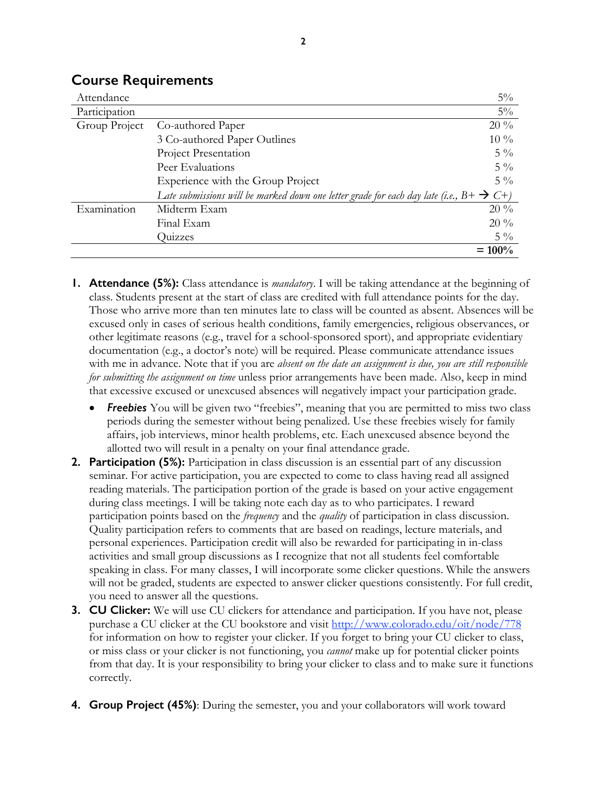| Attendance    |                                                                                                        | $5\%$     |
|---------------|--------------------------------------------------------------------------------------------------------|-----------|
| Participation |                                                                                                        | $5\%$     |
| Group Project | Co-authored Paper                                                                                      | $20\%$    |
|               | 3 Co-authored Paper Outlines                                                                           | $10\%$    |
|               | Project Presentation                                                                                   | $5\%$     |
|               | Peer Evaluations                                                                                       | $5\%$     |
|               | Experience with the Group Project                                                                      | $5\%$     |
|               | Late submissions will be marked down one letter grade for each day late (i.e., $B + \rightarrow C +$ ) |           |
| Examination   | Midterm Exam                                                                                           | $20\%$    |
|               | Final Exam                                                                                             | $20\%$    |
|               | Quizzes                                                                                                | $5\%$     |
|               |                                                                                                        | $= 100\%$ |

#### **Course Requirements**

- **1. Attendance (5%):** Class attendance is *mandatory*. I will be taking attendance at the beginning of class. Students present at the start of class are credited with full attendance points for the day. Those who arrive more than ten minutes late to class will be counted as absent. Absences will be excused only in cases of serious health conditions, family emergencies, religious observances, or other legitimate reasons (e.g., travel for a school-sponsored sport), and appropriate evidentiary documentation (e.g., a doctor's note) will be required. Please communicate attendance issues with me in advance. Note that if you are *absent on the date an assignment is due, you are still responsible for submitting the assignment on time* unless prior arrangements have been made. Also, keep in mind that excessive excused or unexcused absences will negatively impact your participation grade.
	- **Freebies** You will be given two "freebies", meaning that you are permitted to miss two class periods during the semester without being penalized. Use these freebies wisely for family affairs, job interviews, minor health problems, etc. Each unexcused absence beyond the allotted two will result in a penalty on your final attendance grade.
- **2. Participation (5%):** Participation in class discussion is an essential part of any discussion seminar. For active participation, you are expected to come to class having read all assigned reading materials. The participation portion of the grade is based on your active engagement during class meetings. I will be taking note each day as to who participates. I reward participation points based on the *frequency* and the *quality* of participation in class discussion. Quality participation refers to comments that are based on readings, lecture materials, and personal experiences. Participation credit will also be rewarded for participating in in-class activities and small group discussions as I recognize that not all students feel comfortable speaking in class. For many classes, I will incorporate some clicker questions. While the answers will not be graded, students are expected to answer clicker questions consistently. For full credit, you need to answer all the questions.
- **3. CU Clicker:** We will use CU clickers for attendance and participation. If you have not, please purchase a CU clicker at the CU bookstore and visit http://www.colorado.edu/oit/node/778 for information on how to register your clicker. If you forget to bring your CU clicker to class, or miss class or your clicker is not functioning, you *cannot* make up for potential clicker points from that day. It is your responsibility to bring your clicker to class and to make sure it functions correctly.
- **4. Group Project (45%)**: During the semester, you and your collaborators will work toward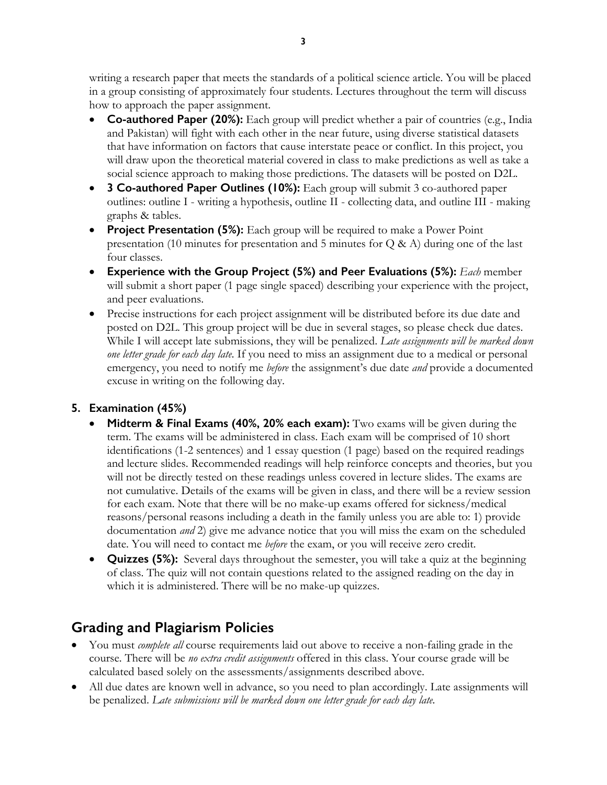writing a research paper that meets the standards of a political science article. You will be placed in a group consisting of approximately four students. Lectures throughout the term will discuss how to approach the paper assignment.

- **Co-authored Paper (20%):** Each group will predict whether a pair of countries (e.g., India and Pakistan) will fight with each other in the near future, using diverse statistical datasets that have information on factors that cause interstate peace or conflict. In this project, you will draw upon the theoretical material covered in class to make predictions as well as take a social science approach to making those predictions. The datasets will be posted on D2L.
- **3 Co-authored Paper Outlines (10%):** Each group will submit 3 co-authored paper outlines: outline I - writing a hypothesis, outline II - collecting data, and outline III - making graphs & tables.
- **Project Presentation (5%):** Each group will be required to make a Power Point presentation (10 minutes for presentation and 5 minutes for Q & A) during one of the last four classes.
- **Experience with the Group Project (5%) and Peer Evaluations (5%):** *Each* member will submit a short paper (1 page single spaced) describing your experience with the project, and peer evaluations.
- Precise instructions for each project assignment will be distributed before its due date and posted on D2L. This group project will be due in several stages, so please check due dates. While I will accept late submissions, they will be penalized. *Late assignments will be marked down one letter grade for each day late*. If you need to miss an assignment due to a medical or personal emergency, you need to notify me *before* the assignment's due date *and* provide a documented excuse in writing on the following day.

#### **5. Examination (45%)**

- **Midterm & Final Exams (40%, 20% each exam):** Two exams will be given during the term. The exams will be administered in class. Each exam will be comprised of 10 short identifications (1-2 sentences) and 1 essay question (1 page) based on the required readings and lecture slides. Recommended readings will help reinforce concepts and theories, but you will not be directly tested on these readings unless covered in lecture slides. The exams are not cumulative. Details of the exams will be given in class, and there will be a review session for each exam. Note that there will be no make-up exams offered for sickness/medical reasons/personal reasons including a death in the family unless you are able to: 1) provide documentation *and* 2) give me advance notice that you will miss the exam on the scheduled date. You will need to contact me *before* the exam, or you will receive zero credit.
- **Quizzes (5%):** Several days throughout the semester, you will take a quiz at the beginning of class. The quiz will not contain questions related to the assigned reading on the day in which it is administered. There will be no make-up quizzes.

## **Grading and Plagiarism Policies**

- You must *complete all* course requirements laid out above to receive a non-failing grade in the course. There will be *no extra credit assignments* offered in this class. Your course grade will be calculated based solely on the assessments/assignments described above.
- All due dates are known well in advance, so you need to plan accordingly. Late assignments will be penalized. *Late submissions will be marked down one letter grade for each day late.*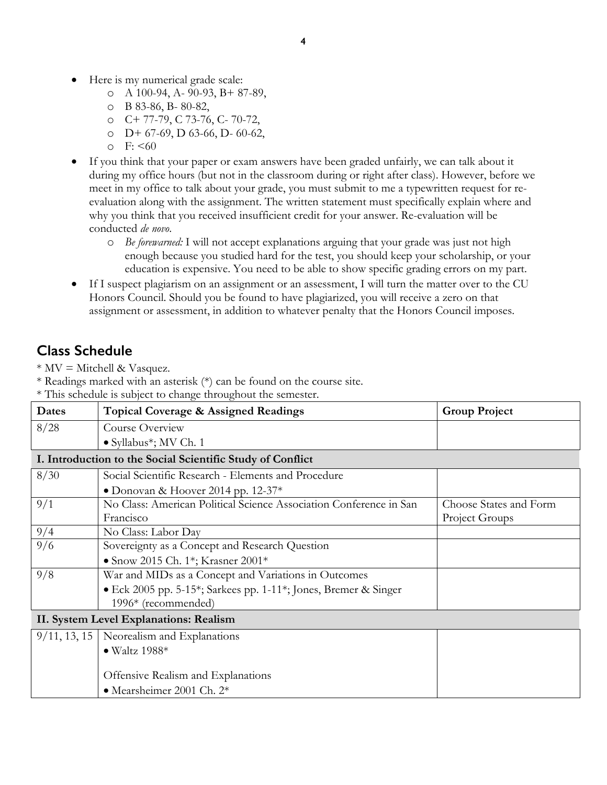- Here is my numerical grade scale:
	- o A 100-94, A- 90-93, B+ 87-89,
	- o B 83-86, B- 80-82,
	- o C+ 77-79, C 73-76, C- 70-72,
	- $O$  D+ 67-69, D 63-66, D- 60-62,
	- $\circ$  F: <60
- If you think that your paper or exam answers have been graded unfairly, we can talk about it during my office hours (but not in the classroom during or right after class). However, before we meet in my office to talk about your grade, you must submit to me a typewritten request for reevaluation along with the assignment. The written statement must specifically explain where and why you think that you received insufficient credit for your answer. Re-evaluation will be conducted *de novo*.
	- o *Be forewarned:* I will not accept explanations arguing that your grade was just not high enough because you studied hard for the test, you should keep your scholarship, or your education is expensive. You need to be able to show specific grading errors on my part.
- If I suspect plagiarism on an assignment or an assessment, I will turn the matter over to the CU Honors Council. Should you be found to have plagiarized, you will receive a zero on that assignment or assessment, in addition to whatever penalty that the Honors Council imposes.

# **Class Schedule**

 $*$  MV = Mitchell & Vasquez.

\* Readings marked with an asterisk (\*) can be found on the course site.

\* This schedule is subject to change throughout the semester.

| <b>Dates</b>                                               | <b>Topical Coverage &amp; Assigned Readings</b>                    | <b>Group Project</b>   |  |  |
|------------------------------------------------------------|--------------------------------------------------------------------|------------------------|--|--|
| 8/28                                                       | Course Overview                                                    |                        |  |  |
|                                                            | • Syllabus*; MV Ch. 1                                              |                        |  |  |
| I. Introduction to the Social Scientific Study of Conflict |                                                                    |                        |  |  |
| 8/30                                                       | Social Scientific Research - Elements and Procedure                |                        |  |  |
|                                                            | • Donovan & Hoover 2014 pp. $12-37*$                               |                        |  |  |
| 9/1                                                        | No Class: American Political Science Association Conference in San | Choose States and Form |  |  |
|                                                            | Francisco                                                          | Project Groups         |  |  |
| 9/4                                                        | No Class: Labor Day                                                |                        |  |  |
| 9/6                                                        | Sovereignty as a Concept and Research Question                     |                        |  |  |
|                                                            | • Snow 2015 Ch. 1*; Krasner 2001*                                  |                        |  |  |
| 9/8                                                        | War and MIDs as a Concept and Variations in Outcomes               |                        |  |  |
|                                                            | • Eck 2005 pp. 5-15*; Sarkees pp. 1-11*; Jones, Bremer & Singer    |                        |  |  |
|                                                            | 1996* (recommended)                                                |                        |  |  |
| II. System Level Explanations: Realism                     |                                                                    |                        |  |  |
|                                                            | $9/11$ , 13, 15 Neorealism and Explanations                        |                        |  |  |
|                                                            | $\bullet$ Waltz 1988*                                              |                        |  |  |
|                                                            |                                                                    |                        |  |  |
|                                                            | Offensive Realism and Explanations                                 |                        |  |  |
|                                                            | • Mearsheimer 2001 Ch. 2*                                          |                        |  |  |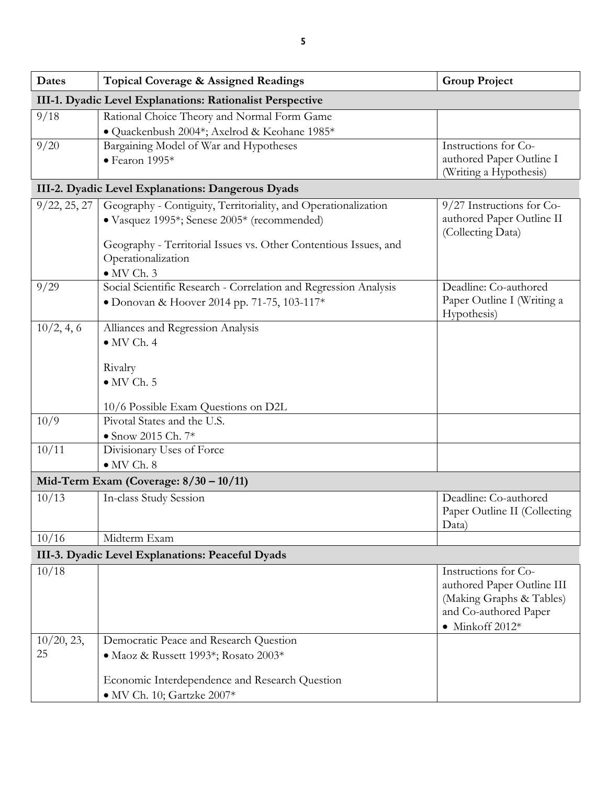| <b>Dates</b>  | Topical Coverage & Assigned Readings                             | <b>Group Project</b>                                   |  |  |  |
|---------------|------------------------------------------------------------------|--------------------------------------------------------|--|--|--|
|               | III-1. Dyadic Level Explanations: Rationalist Perspective        |                                                        |  |  |  |
| 9/18          | Rational Choice Theory and Normal Form Game                      |                                                        |  |  |  |
|               | · Quackenbush 2004*; Axelrod & Keohane 1985*                     |                                                        |  |  |  |
| 9/20          | Bargaining Model of War and Hypotheses                           | Instructions for Co-                                   |  |  |  |
|               | $\bullet$ Fearon 1995*                                           | authored Paper Outline I<br>(Writing a Hypothesis)     |  |  |  |
|               | III-2. Dyadic Level Explanations: Dangerous Dyads                |                                                        |  |  |  |
| 9/22, 25, 27  | Geography - Contiguity, Territoriality, and Operationalization   | 9/27 Instructions for Co-                              |  |  |  |
|               | · Vasquez 1995*; Senese 2005* (recommended)                      | authored Paper Outline II<br>(Collecting Data)         |  |  |  |
|               | Geography - Territorial Issues vs. Other Contentious Issues, and |                                                        |  |  |  |
|               | Operationalization                                               |                                                        |  |  |  |
|               | $\bullet$ MV Ch. 3                                               |                                                        |  |  |  |
| 9/29          | Social Scientific Research - Correlation and Regression Analysis | Deadline: Co-authored                                  |  |  |  |
|               | • Donovan & Hoover 2014 pp. 71-75, 103-117*                      | Paper Outline I (Writing a<br>Hypothesis)              |  |  |  |
| 10/2, 4, 6    | Alliances and Regression Analysis                                |                                                        |  |  |  |
|               | $\bullet$ MV Ch. 4                                               |                                                        |  |  |  |
|               | Rivalry                                                          |                                                        |  |  |  |
|               | $\bullet$ MV Ch. 5                                               |                                                        |  |  |  |
|               | 10/6 Possible Exam Questions on D2L                              |                                                        |  |  |  |
| 10/9          | Pivotal States and the U.S.                                      |                                                        |  |  |  |
|               | $\bullet$ Snow 2015 Ch. 7*                                       |                                                        |  |  |  |
| 10/11         | Divisionary Uses of Force                                        |                                                        |  |  |  |
|               | $\bullet$ MV Ch. 8                                               |                                                        |  |  |  |
|               | Mid-Term Exam (Coverage: $8/30 - 10/11$ )                        |                                                        |  |  |  |
| 10/13         | In-class Study Session                                           | Deadline: Co-authored                                  |  |  |  |
|               |                                                                  | Paper Outline II (Collecting                           |  |  |  |
|               |                                                                  | Data)                                                  |  |  |  |
| 10/16         | Midterm Exam                                                     |                                                        |  |  |  |
|               | III-3. Dyadic Level Explanations: Peaceful Dyads                 |                                                        |  |  |  |
| 10/18         |                                                                  | Instructions for Co-                                   |  |  |  |
|               |                                                                  | authored Paper Outline III<br>(Making Graphs & Tables) |  |  |  |
|               |                                                                  | and Co-authored Paper                                  |  |  |  |
|               |                                                                  | $\bullet$ Minkoff 2012*                                |  |  |  |
| $10/20$ , 23, | Democratic Peace and Research Question                           |                                                        |  |  |  |
| 25            | · Maoz & Russett 1993*; Rosato 2003*                             |                                                        |  |  |  |
|               |                                                                  |                                                        |  |  |  |
|               | Economic Interdependence and Research Question                   |                                                        |  |  |  |
|               | · MV Ch. 10; Gartzke 2007*                                       |                                                        |  |  |  |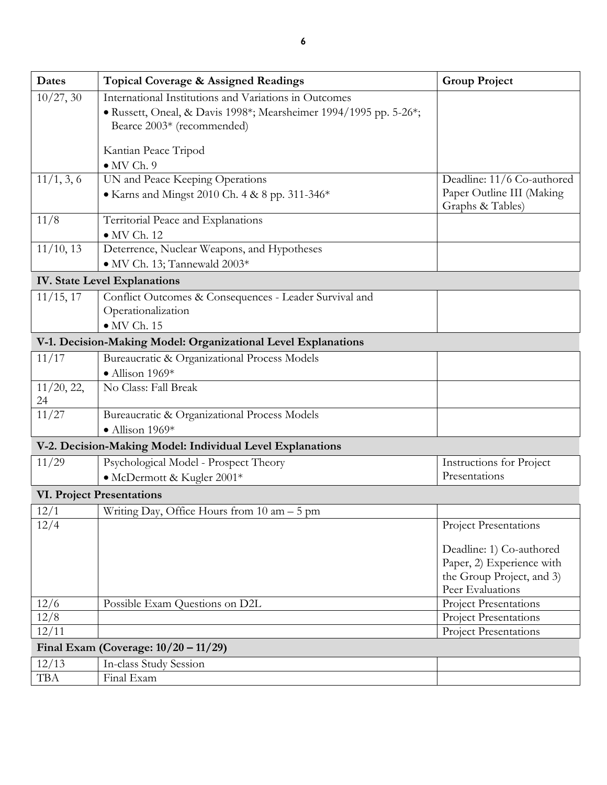| Dates                                   | <b>Topical Coverage &amp; Assigned Readings</b>                                                 | <b>Group Project</b>                          |  |  |
|-----------------------------------------|-------------------------------------------------------------------------------------------------|-----------------------------------------------|--|--|
| 10/27, 30                               | International Institutions and Variations in Outcomes                                           |                                               |  |  |
|                                         | · Russett, Oneal, & Davis 1998*; Mearsheimer 1994/1995 pp. 5-26*;<br>Bearce 2003* (recommended) |                                               |  |  |
|                                         | Kantian Peace Tripod                                                                            |                                               |  |  |
|                                         | $\bullet$ MV Ch. 9                                                                              |                                               |  |  |
| 11/1, 3, 6                              | UN and Peace Keeping Operations                                                                 | Deadline: 11/6 Co-authored                    |  |  |
|                                         | • Karns and Mingst 2010 Ch. 4 & 8 pp. 311-346*                                                  | Paper Outline III (Making<br>Graphs & Tables) |  |  |
| 11/8                                    | Territorial Peace and Explanations                                                              |                                               |  |  |
|                                         | $\bullet$ MV Ch. 12                                                                             |                                               |  |  |
| $11/10$ , 13                            | Deterrence, Nuclear Weapons, and Hypotheses                                                     |                                               |  |  |
|                                         | • MV Ch. 13; Tannewald 2003*                                                                    |                                               |  |  |
|                                         | <b>IV. State Level Explanations</b>                                                             |                                               |  |  |
| 11/15, 17                               | Conflict Outcomes & Consequences - Leader Survival and                                          |                                               |  |  |
|                                         | Operationalization                                                                              |                                               |  |  |
|                                         | $\bullet$ MV Ch. 15                                                                             |                                               |  |  |
|                                         | V-1. Decision-Making Model: Organizational Level Explanations                                   |                                               |  |  |
| 11/17                                   | Bureaucratic & Organizational Process Models                                                    |                                               |  |  |
|                                         | $\bullet$ Allison 1969*                                                                         |                                               |  |  |
| 11/20, 22,<br>24                        | No Class: Fall Break                                                                            |                                               |  |  |
| 11/27                                   | Bureaucratic & Organizational Process Models                                                    |                                               |  |  |
|                                         | $\bullet$ Allison 1969*                                                                         |                                               |  |  |
|                                         | V-2. Decision-Making Model: Individual Level Explanations                                       |                                               |  |  |
| 11/29                                   | Psychological Model - Prospect Theory                                                           | Instructions for Project                      |  |  |
|                                         | • McDermott & Kugler 2001*                                                                      | Presentations                                 |  |  |
|                                         | <b>VI. Project Presentations</b>                                                                |                                               |  |  |
| 12/1                                    | Writing Day, Office Hours from $10 \text{ am} - 5 \text{ pm}$                                   |                                               |  |  |
| 12/4                                    |                                                                                                 | <b>Project Presentations</b>                  |  |  |
|                                         |                                                                                                 | Deadline: 1) Co-authored                      |  |  |
|                                         |                                                                                                 | Paper, 2) Experience with                     |  |  |
|                                         |                                                                                                 | the Group Project, and 3)                     |  |  |
|                                         |                                                                                                 | Peer Evaluations                              |  |  |
| 12/6                                    | Possible Exam Questions on D2L                                                                  | Project Presentations                         |  |  |
| 12/8                                    |                                                                                                 | <b>Project Presentations</b>                  |  |  |
| 12/11                                   |                                                                                                 | Project Presentations                         |  |  |
| Final Exam (Coverage: $10/20 - 11/29$ ) |                                                                                                 |                                               |  |  |
| 12/13                                   | In-class Study Session                                                                          |                                               |  |  |
| <b>TBA</b>                              | Final Exam                                                                                      |                                               |  |  |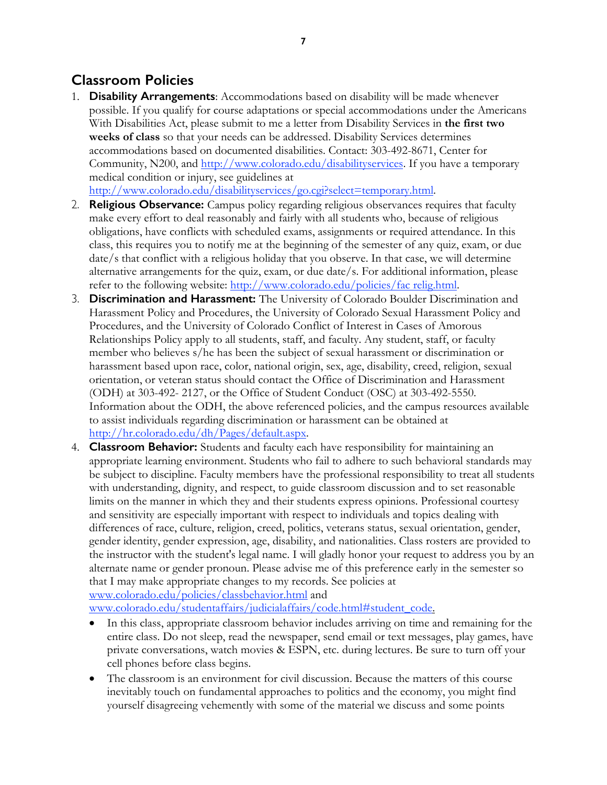# **Classroom Policies**

1. **Disability Arrangements**: Accommodations based on disability will be made whenever possible. If you qualify for course adaptations or special accommodations under the Americans With Disabilities Act, please submit to me a letter from Disability Services in **the first two weeks of class** so that your needs can be addressed. Disability Services determines accommodations based on documented disabilities. Contact: 303-492-8671, Center for Community, N200, and http://www.colorado.edu/disabilityservices. If you have a temporary medical condition or injury, see guidelines at

http://www.colorado.edu/disabilityservices/go.cgi?select=temporary.html.

- 2. **Religious Observance:** Campus policy regarding religious observances requires that faculty make every effort to deal reasonably and fairly with all students who, because of religious obligations, have conflicts with scheduled exams, assignments or required attendance. In this class, this requires you to notify me at the beginning of the semester of any quiz, exam, or due date/s that conflict with a religious holiday that you observe. In that case, we will determine alternative arrangements for the quiz, exam, or due date/s. For additional information, please refer to the following website: http://www.colorado.edu/policies/fac relig.html.
- 3. **Discrimination and Harassment:** The University of Colorado Boulder Discrimination and Harassment Policy and Procedures, the University of Colorado Sexual Harassment Policy and Procedures, and the University of Colorado Conflict of Interest in Cases of Amorous Relationships Policy apply to all students, staff, and faculty. Any student, staff, or faculty member who believes s/he has been the subject of sexual harassment or discrimination or harassment based upon race, color, national origin, sex, age, disability, creed, religion, sexual orientation, or veteran status should contact the Office of Discrimination and Harassment (ODH) at 303-492- 2127, or the Office of Student Conduct (OSC) at 303-492-5550. Information about the ODH, the above referenced policies, and the campus resources available to assist individuals regarding discrimination or harassment can be obtained at http://hr.colorado.edu/dh/Pages/default.aspx.
- 4. **Classroom Behavior:** Students and faculty each have responsibility for maintaining an appropriate learning environment. Students who fail to adhere to such behavioral standards may be subject to discipline. Faculty members have the professional responsibility to treat all students with understanding, dignity, and respect, to guide classroom discussion and to set reasonable limits on the manner in which they and their students express opinions. Professional courtesy and sensitivity are especially important with respect to individuals and topics dealing with differences of race, culture, religion, creed, politics, veterans status, sexual orientation, gender, gender identity, gender expression, age, disability, and nationalities. Class rosters are provided to the instructor with the student's legal name. I will gladly honor your request to address you by an alternate name or gender pronoun. Please advise me of this preference early in the semester so that I may make appropriate changes to my records. See policies at www.colorado.edu/policies/classbehavior.html and

www.colorado.edu/studentaffairs/judicialaffairs/code.html#student\_code.

- In this class, appropriate classroom behavior includes arriving on time and remaining for the entire class. Do not sleep, read the newspaper, send email or text messages, play games, have private conversations, watch movies & ESPN, etc. during lectures. Be sure to turn off your cell phones before class begins.
- The classroom is an environment for civil discussion. Because the matters of this course inevitably touch on fundamental approaches to politics and the economy, you might find yourself disagreeing vehemently with some of the material we discuss and some points